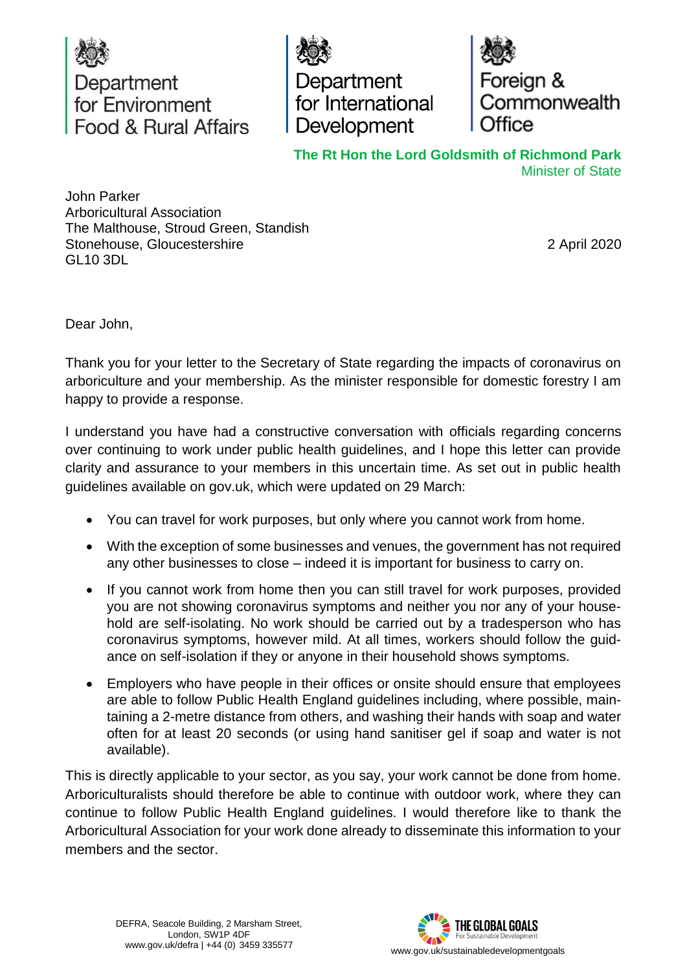

Department for International Development

Foreign & Commonwealth

**The Rt Hon the Lord Goldsmith of Richmond Park** Minister of State

John Parker Arboricultural Association The Malthouse, Stroud Green, Standish Stonehouse, Gloucestershire GL10 3DL

2 April 2020

Dear John,

Thank you for your letter to the Secretary of State regarding the impacts of coronavirus on arboriculture and your membership. As the minister responsible for domestic forestry I am happy to provide a response.

I understand you have had a constructive conversation with officials regarding concerns over continuing to work under public health guidelines, and I hope this letter can provide clarity and assurance to your members in this uncertain time. As set out in public health guidelines available on gov.uk, which were updated on 29 March:

- You can travel for work purposes, but only where you cannot work from home.
- With the exception of some businesses and venues, the government has not required any other businesses to close – indeed it is important for business to carry on.
- If you cannot work from home then you can still travel for work purposes, provided you are not showing coronavirus symptoms and neither you nor any of your household are self-isolating. No work should be carried out by a tradesperson who has coronavirus symptoms, however mild. At all times, workers should follow the guidance on self-isolation if they or anyone in their household shows symptoms.
- Employers who have people in their offices or onsite should ensure that employees are able to follow Public Health England guidelines including, where possible, maintaining a 2-metre distance from others, and washing their hands with soap and water often for at least 20 seconds (or using hand sanitiser gel if soap and water is not available).

This is directly applicable to your sector, as you say, your work cannot be done from home. Arboriculturalists should therefore be able to continue with outdoor work, where they can continue to follow Public Health England guidelines. I would therefore like to thank the Arboricultural Association for your work done already to disseminate this information to your members and the sector.